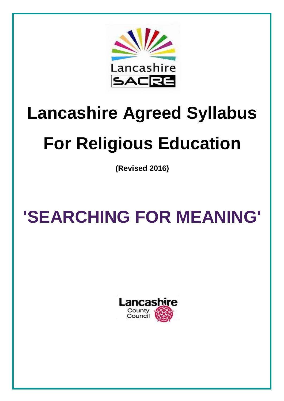

# **Lancashire Agreed Syllabus**

## **For Religious Education**

**(Revised 2016)**

## **'SEARCHING FOR MEANING'**

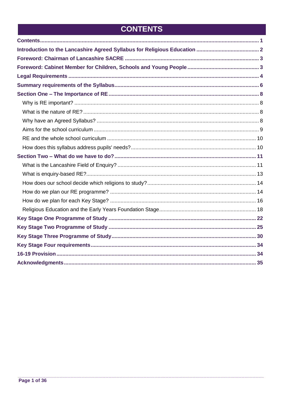## **CONTENTS**

<span id="page-1-0"></span>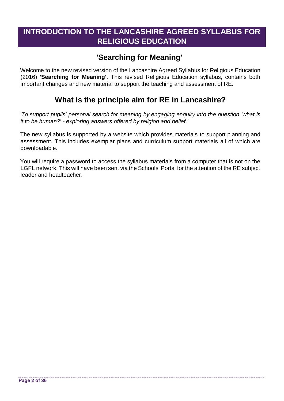## <span id="page-2-0"></span>**INTRODUCTION TO THE LANCASHIRE AGREED SYLLABUS FOR RELIGIOUS EDUCATION**

## **'Searching for Meaning'**

Welcome to the new revised version of the Lancashire Agreed Syllabus for Religious Education (2016) **'Searching for Meaning'**. This revised Religious Education syllabus, contains both important changes and new material to support the teaching and assessment of RE.

## **What is the principle aim for RE in Lancashire?**

*'To support pupils' personal search for meaning by engaging enquiry into the question 'what is it to be human?' - exploring answers offered by religion and belief.'* 

The new syllabus is supported by a website which provides materials to support planning and assessment. This includes exemplar plans and curriculum support materials all of which are downloadable.

You will require a password to access the syllabus materials from a computer that is not on the LGFL network. This will have been sent via the Schools' Portal for the attention of the RE subject leader and headteacher.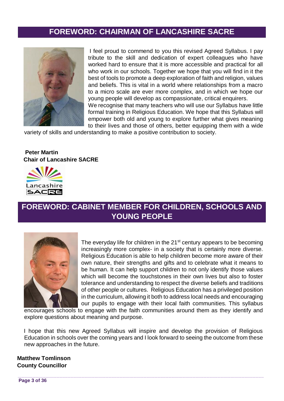## **FOREWORD: CHAIRMAN OF LANCASHIRE SACRE**

<span id="page-3-0"></span>

I feel proud to commend to you this revised Agreed Syllabus. I pay tribute to the skill and dedication of expert colleagues who have worked hard to ensure that it is more accessible and practical for all who work in our schools. Together we hope that you will find in it the best of tools to promote a deep exploration of faith and religion, values and beliefs. This is vital in a world where relationships from a macro to a micro scale are ever more complex, and in which we hope our young people will develop as compassionate, critical enquirers. We recognise that many teachers who will use our Syllabus have little formal training in Religious Education. We hope that this Syllabus will empower both old and young to explore further what gives meaning

to their lives and those of others, better equipping them with a wide variety of skills and understanding to make a positive contribution to society.

#### **Peter Martin Chair of Lancashire SACRE**



## <span id="page-3-1"></span>**FOREWORD: CABINET MEMBER FOR CHILDREN, SCHOOLS AND YOUNG PEOPLE**



The everyday life for children in the  $21<sup>st</sup>$  century appears to be becoming increasingly more complex- in a society that is certainly more diverse. Religious Education is able to help children become more aware of their own nature, their strengths and gifts and to celebrate what it means to be human. It can help support children to not only identify those values which will become the touchstones in their own lives but also to foster tolerance and understanding to respect the diverse beliefs and traditions of other people or cultures. Religious Education has a privileged position in the curriculum, allowing it both to address local needs and encouraging our pupils to engage with their local faith communities. This syllabus

encourages schools to engage with the faith communities around them as they identify and explore questions about meaning and purpose.

I hope that this new Agreed Syllabus will inspire and develop the provision of Religious Education in schools over the coming years and I look forward to seeing the outcome from these new approaches in the future.

**Matthew Tomlinson County Councillor**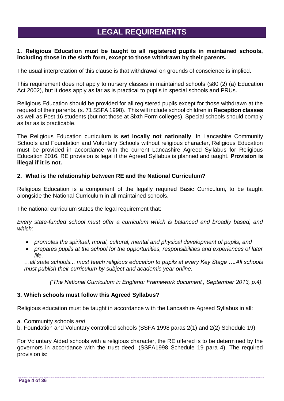## **LEGAL REQUIREMENTS**

#### <span id="page-4-0"></span>**1. Religious Education must be taught to all registered pupils in maintained schools, including those in the sixth form, except to those withdrawn by their parents.**

The usual interpretation of this clause is that withdrawal on grounds of conscience is implied.

This requirement does not apply to nursery classes in maintained schools (s80 (2) (a) Education Act 2002), but it does apply as far as is practical to pupils in special schools and PRUs.

Religious Education should be provided for all registered pupils except for those withdrawn at the request of their parents. (s. 71 SSFA 1998). This will include school children in **Reception classes** as well as Post 16 students (but not those at Sixth Form colleges). Special schools should comply as far as is practicable.

The Religious Education curriculum is **set locally not nationally**. In Lancashire Community Schools and Foundation and Voluntary Schools without religious character, Religious Education must be provided in accordance with the current Lancashire Agreed Syllabus for Religious Education 2016. RE provision is legal if the Agreed Syllabus is planned and taught. **Provision is illegal if it is not.**

#### **2. What is the relationship between RE and the National Curriculum?**

Religious Education is a component of the legally required Basic Curriculum, to be taught alongside the National Curriculum in all maintained schools.

The national curriculum states the legal requirement that:

*Every state-funded school must offer a curriculum which is balanced and broadly based, and which:*

- *promotes the spiritual, moral, cultural, mental and physical development of pupils, and*
- *prepares pupils at the school for the opportunities, responsibilities and experiences of later life.*

*…all state schools... must teach religious education to pupils at every Key Stage ….All schools must publish their curriculum by subject and academic year online.*

*('The National Curriculum in England: Framework document', September 2013, p.4).*

#### **3. Which schools must follow this Agreed Syllabus?**

Religious education must be taught in accordance with the Lancashire Agreed Syllabus in all:

- a. Community schools *and*
- b. Foundation and Voluntary controlled schools (SSFA 1998 paras 2(1) and 2(2) Schedule 19)

For Voluntary Aided schools with a religious character, the RE offered is to be determined by the governors in accordance with the trust deed. (SSFA1998 Schedule 19 para 4). The required provision is: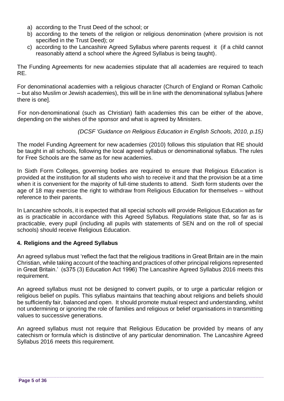- a) according to the Trust Deed of the school; or
- b) according to the tenets of the religion or religious denomination (where provision is not specified in the Trust Deed); or
- c) according to the Lancashire Agreed Syllabus where parents request it (if a child cannot reasonably attend a school where the Agreed Syllabus is being taught).

The Funding Agreements for new academies stipulate that all academies are required to teach RE.

For denominational academies with a religious character (Church of England or Roman Catholic – but also Muslim or Jewish academies), this will be in line with the denominational syllabus [where there is one].

For non-denominational (such as Christian) faith academies this can be either of the above, depending on the wishes of the sponsor and what is agreed by Ministers.

*(DCSF 'Guidance on Religious Education in English Schools, 2010, p.15)*

The model Funding Agreement for new academies (2010) follows this stipulation that RE should be taught in all schools, following the local agreed syllabus or denominational syllabus. The rules for Free Schools are the same as for new academies.

In Sixth Form Colleges, governing bodies are required to ensure that Religious Education is provided at the institution for all students who wish to receive it and that the provision be at a time when it is convenient for the majority of full-time students to attend. Sixth form students over the age of 18 may exercise the right to withdraw from Religious Education for themselves – without reference to their parents.

In Lancashire schools, it is expected that all special schools will provide Religious Education as far as is practicable in accordance with this Agreed Syllabus. Regulations state that, so far as is practicable, every pupil (including all pupils with statements of SEN and on the roll of special schools) should receive Religious Education.

#### **4. Religions and the Agreed Syllabus**

An agreed syllabus must 'reflect the fact that the religious traditions in Great Britain are in the main Christian, while taking account of the teaching and practices of other principal religions represented in Great Britain.' (s375 (3) Education Act 1996) The Lancashire Agreed Syllabus 2016 meets this requirement.

An agreed syllabus must not be designed to convert pupils, or to urge a particular religion or religious belief on pupils. This syllabus maintains that teaching about religions and beliefs should be sufficiently fair, balanced and open. It should promote mutual respect and understanding, whilst not undermining or ignoring the role of families and religious or belief organisations in transmitting values to successive generations.

An agreed syllabus must not require that Religious Education be provided by means of any catechism or formula which is distinctive of any particular denomination. The Lancashire Agreed Syllabus 2016 meets this requirement.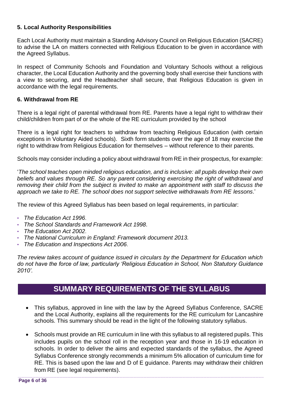#### **5. Local Authority Responsibilities**

Each Local Authority must maintain a Standing Advisory Council on Religious Education (SACRE) to advise the LA on matters connected with Religious Education to be given in accordance with the Agreed Syllabus.

In respect of Community Schools and Foundation and Voluntary Schools without a religious character, the Local Education Authority and the governing body shall exercise their functions with a view to securing, and the Headteacher shall secure, that Religious Education is given in accordance with the legal requirements.

#### **6. Withdrawal from RE**

There is a legal right of parental withdrawal from RE. Parents have a legal right to withdraw their child/children from part of or the whole of the RE curriculum provided by the school

There is a legal right for teachers to withdraw from teaching Religious Education (with certain exceptions in Voluntary Aided schools). Sixth form students over the age of 18 may exercise the right to withdraw from Religious Education for themselves – without reference to their parents.

Schools may consider including a policy about withdrawal from RE in their prospectus, for example:

'*The school teaches open minded religious education, and is inclusive: all pupils develop their own beliefs and values through RE. So any parent considering exercising the right of withdrawal and removing their child from the subject is invited to make an appointment with staff to discuss the approach we take to RE. The school does not support selective withdrawals from RE lessons*.'

The review of this Agreed Syllabus has been based on legal requirements, in particular:

- *The Education Act 1996*.
- *The School Standards and Framework Act 1998.*
- *The Education Act 2002*.
- *The National Curriculum in England: Framework document 2013.*
- *The Education and Inspections Act 2006*.

*The review takes account of guidance issued in circulars by the Department for Education which do not have the force of law, particularly 'Religious Education in School, Non Statutory Guidance 2010'.* 

## **SUMMARY REQUIREMENTS OF THE SYLLABUS**

- <span id="page-6-0"></span> This syllabus, approved in line with the law by the Agreed Syllabus Conference, SACRE and the Local Authority, explains all the requirements for the RE curriculum for Lancashire schools. This summary should be read in the light of the following statutory syllabus.
- Schools must provide an RE curriculum in line with this syllabus to all registered pupils. This includes pupils on the school roll in the reception year and those in 16-19 education in schools. In order to deliver the aims and expected standards of the syllabus, the Agreed Syllabus Conference strongly recommends a minimum 5% allocation of curriculum time for RE. This is based upon the law and D of E guidance. Parents may withdraw their children from RE (see legal requirements).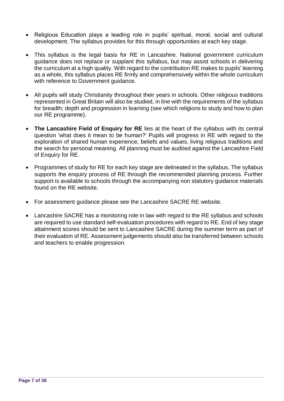- Religious Education plays a leading role in pupils' spiritual, moral, social and cultural development. The syllabus provides for this through opportunities at each key stage.
- This syllabus is the legal basis for RE in Lancashire. National government curriculum guidance does not replace or supplant this syllabus, but may assist schools in delivering the curriculum at a high quality. With regard to the contribution RE makes to pupils' learning as a whole, this syllabus places RE firmly and comprehensively within the whole curriculum with reference to Government guidance.
- All pupils will study Christianity throughout their years in schools. Other religious traditions represented in Great Britain will also be studied, in line with the requirements of the syllabus for breadth; depth and progression in learning (see which religions to study and how to plan our RE programme).
- **The Lancashire Field of Enquiry for RE** lies at the heart of the syllabus with its central question 'what does it mean to be human?' Pupils will progress in RE with regard to the exploration of shared human experience, beliefs and values, living religious traditions and the search for personal meaning. All planning must be audited against the Lancashire Field of Enquiry for RE.
- Programmes of study for RE for each key stage are delineated in the syllabus. The syllabus supports the enquiry process of RE through the recommended planning process. Further support is available to schools through the accompanying non statutory guidance materials found on the RE website.
- For assessment guidance please see the Lancashire SACRE RE website.
- Lancashire SACRE has a monitoring role in law with regard to the RE syllabus and schools are required to use standard self-evaluation procedures with regard to RE. End of key stage attainment scores should be sent to Lancashire SACRE during the summer term as part of their evaluation of RE. Assessment judgements should also be transferred between schools and teachers to enable progression.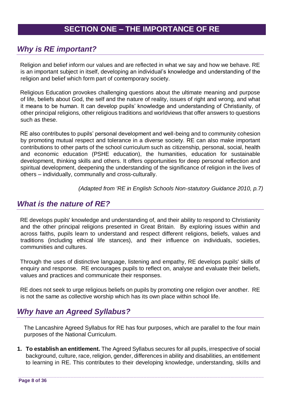## <span id="page-8-1"></span><span id="page-8-0"></span>*Why is RE important?*

Religion and belief inform our values and are reflected in what we say and how we behave. RE is an important subject in itself, developing an individual's knowledge and understanding of the religion and belief which form part of contemporary society.

Religious Education provokes challenging questions about the ultimate meaning and purpose of life, beliefs about God, the self and the nature of reality, issues of right and wrong, and what it means to be human. It can develop pupils' knowledge and understanding of Christianity, of other principal religions, other religious traditions and worldviews that offer answers to questions such as these.

RE also contributes to pupils' personal development and well-being and to community cohesion by promoting mutual respect and tolerance in a diverse society. RE can also make important contributions to other parts of the school curriculum such as citizenship, personal, social, health and economic education (PSHE education), the humanities, education for sustainable development, thinking skills and others. It offers opportunities for deep personal reflection and spiritual development, deepening the understanding of the significance of religion in the lives of others – individually, communally and cross-culturally.

*(Adapted from 'RE in English Schools Non-statutory Guidance 2010, p.7)*

## <span id="page-8-2"></span>*What is the nature of RE?*

RE develops pupils' knowledge and understanding of, and their ability to respond to Christianity and the other principal religions presented in Great Britain. By exploring issues within and across faiths, pupils learn to understand and respect different religions, beliefs, values and traditions (including ethical life stances), and their influence on individuals, societies, communities and cultures.

Through the uses of distinctive language, listening and empathy, RE develops pupils' skills of enquiry and response. RE encourages pupils to reflect on, analyse and evaluate their beliefs, values and practices and communicate their responses.

RE does not seek to urge religious beliefs on pupils by promoting one religion over another. RE is not the same as collective worship which has its own place within school life.

## <span id="page-8-3"></span>*Why have an Agreed Syllabus?*

The Lancashire Agreed Syllabus for RE has four purposes, which are parallel to the four main purposes of the National Curriculum.

**1. To establish an entitlement.** The Agreed Syllabus secures for all pupils, irrespective of social background, culture, race, religion, gender, differences in ability and disabilities, an entitlement to learning in RE. This contributes to their developing knowledge, understanding, skills and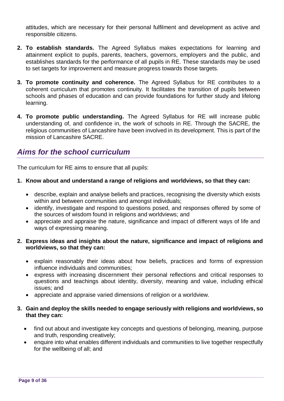attitudes, which are necessary for their personal fulfilment and development as active and responsible citizens.

- **2. To establish standards.** The Agreed Syllabus makes expectations for learning and attainment explicit to pupils, parents, teachers, governors, employers and the public, and establishes standards for the performance of all pupils in RE. These standards may be used to set targets for improvement and measure progress towards those targets.
- **3. To promote continuity and coherence.** The Agreed Syllabus for RE contributes to a coherent curriculum that promotes continuity. It facilitates the transition of pupils between schools and phases of education and can provide foundations for further study and lifelong learning.
- **4. To promote public understanding.** The Agreed Syllabus for RE will increase public understanding of, and confidence in, the work of schools in RE. Through the SACRE, the religious communities of Lancashire have been involved in its development. This is part of the mission of Lancashire SACRE.

## <span id="page-9-0"></span>*Aims for the school curriculum*

The curriculum for RE aims to ensure that all pupils:

#### **1. Know about and understand a range of religions and worldviews, so that they can:**

- describe, explain and analyse beliefs and practices, recognising the diversity which exists within and between communities and amongst individuals;
- identify, investigate and respond to questions posed, and responses offered by some of the sources of wisdom found in religions and worldviews; and
- appreciate and appraise the nature, significance and impact of different ways of life and ways of expressing meaning.

#### **2. Express ideas and insights about the nature, significance and impact of religions and worldviews, so that they can:**

- explain reasonably their ideas about how beliefs, practices and forms of expression influence individuals and communities;
- express with increasing discernment their personal reflections and critical responses to questions and teachings about identity, diversity, meaning and value, including ethical issues; and
- appreciate and appraise varied dimensions of religion or a worldview.

#### **3. Gain and deploy the skills needed to engage seriously with religions and worldviews, so that they can:**

- find out about and investigate key concepts and questions of belonging, meaning, purpose and truth, responding creatively;
- enquire into what enables different individuals and communities to live together respectfully for the wellbeing of all; and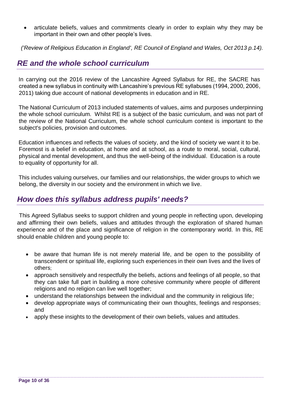articulate beliefs, values and commitments clearly in order to explain why they may be important in their own and other people's lives.

*('Review of Religious Education in England', RE Council of England and Wales, Oct 2013 p.14).*

## <span id="page-10-0"></span>*RE and the whole school curriculum*

In carrying out the 2016 review of the Lancashire Agreed Syllabus for RE, the SACRE has created a new syllabus in continuity with Lancashire's previous RE syllabuses (1994, 2000, 2006, 2011) taking due account of national developments in education and in RE.

The National Curriculum of 2013 included statements of values, aims and purposes underpinning the whole school curriculum. Whilst RE is a subject of the basic curriculum, and was not part of the review of the National Curriculum, the whole school curriculum context is important to the subject's policies, provision and outcomes.

Education influences and reflects the values of society, and the kind of society we want it to be. Foremost is a belief in education, at home and at school, as a route to moral, social, cultural, physical and mental development, and thus the well-being of the individual. Education is a route to equality of opportunity for all.

This includes valuing ourselves, our families and our relationships, the wider groups to which we belong, the diversity in our society and the environment in which we live.

## <span id="page-10-1"></span>*How does this syllabus address pupils' needs?*

This Agreed Syllabus seeks to support children and young people in reflecting upon, developing and affirming their own beliefs, values and attitudes through the exploration of shared human experience and of the place and significance of religion in the contemporary world. In this, RE should enable children and young people to:

- be aware that human life is not merely material life, and be open to the possibility of transcendent or spiritual life, exploring such experiences in their own lives and the lives of others;
- approach sensitively and respectfully the beliefs, actions and feelings of all people, so that they can take full part in building a more cohesive community where people of different religions and no religion can live well together;
- understand the relationships between the individual and the community in religious life;
- develop appropriate ways of communicating their own thoughts, feelings and responses; and
- apply these insights to the development of their own beliefs, values and attitudes.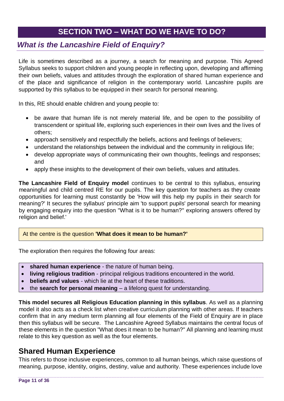## **SECTION TWO – WHAT DO WE HAVE TO DO?**

## <span id="page-11-1"></span><span id="page-11-0"></span>*What is the Lancashire Field of Enquiry?*

Life is sometimes described as a journey, a search for meaning and purpose. This Agreed Syllabus seeks to support children and young people in reflecting upon, developing and affirming their own beliefs, values and attitudes through the exploration of shared human experience and of the place and significance of religion in the contemporary world. Lancashire pupils are supported by this syllabus to be equipped in their search for personal meaning.

In this, RE should enable children and young people to:

- be aware that human life is not merely material life, and be open to the possibility of transcendent or spiritual life, exploring such experiences in their own lives and the lives of others;
- approach sensitively and respectfully the beliefs, actions and feelings of believers;
- understand the relationships between the individual and the community in religious life;
- develop appropriate ways of communicating their own thoughts, feelings and responses; and
- apply these insights to the development of their own beliefs, values and attitudes.

**The Lancashire Field of Enquiry model** continues to be central to this syllabus, ensuring meaningful and child centred RE for our pupils. The key question for teachers as they create opportunities for learning must constantly be 'How will this help my pupils in their search for meaning?' It secures the syllabus' principle aim 'to support pupils' personal search for meaning by engaging enquiry into the question "What is it to be human?" exploring answers offered by religion and belief.'

#### At the centre is the question **'What does it mean to be human?'**

The exploration then requires the following four areas:

- **shared human experience** the nature of human being.
- **living religious tradition** principal religious traditions encountered in the world.
- **beliefs and values** which lie at the heart of these traditions.
- the **search for personal meaning**  a lifelong quest for understanding.

**This model secures all Religious Education planning in this syllabus**. As well as a planning model it also acts as a check list when creative curriculum planning with other areas. If teachers confirm that in any medium term planning all four elements of the Field of Enquiry are in place then this syllabus will be secure. The Lancashire Agreed Syllabus maintains the central focus of these elements in the question "What does it mean to be human?" All planning and learning must relate to this key question as well as the four elements.

## **Shared Human Experience**

This refers to those inclusive experiences, common to all human beings, which raise questions of meaning, purpose, identity, origins, destiny, value and authority. These experiences include love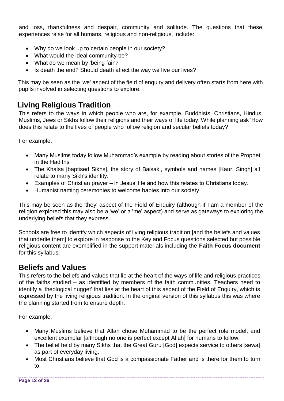and loss, thankfulness and despair, community and solitude. The questions that these experiences raise for all humans, religious and non-religious, include:

- Why do we look up to certain people in our society?
- What would the ideal community be?
- What do we mean by 'being fair'?
- Is death the end? Should death affect the way we live our lives?

 This may be seen as the 'we' aspect of the field of enquiry and delivery often starts from here with pupils involved in selecting questions to explore.

## **Living Religious Tradition**

This refers to the ways in which people who are, for example, Buddhists, Christians, Hindus, Muslims, Jews or Sikhs follow their religions and their ways of life today. While planning ask 'How does this relate to the lives of people who follow religion and secular beliefs today?

For example:

- Many Muslims today follow Muhammad's example by reading about stories of the Prophet in the Hadiths.
- The Khalsa [baptised Sikhs], the story of Baisaki, symbols and names [Kaur, Singh] all relate to many Sikh's identity.
- Examples of Christian prayer in Jesus' life and how this relates to Christians today.
- Humanist naming ceremonies to welcome babies into our society.

This may be seen as the 'they' aspect of the Field of Enquiry (although if I am a member of the religion explored this may also be a 'we' or a 'me' aspect) and serve as gateways to exploring the underlying beliefs that they express.

Schools are free to identify which aspects of living religious tradition [and the beliefs and values that underlie them] to explore in response to the Key and Focus questions selected but possible religious content are exemplified in the support materials including the **Faith Focus document** for this syllabus.

## **Beliefs and Values**

This refers to the beliefs and values that lie at the heart of the ways of life and religious practices of the faiths studied – as identified by members of the faith communities. Teachers need to identify a 'theological nugget' that lies at the heart of this aspect of the Field of Enguiry, which is expressed by the living religious tradition. In the original version of this syllabus this was where the planning started from to ensure depth.

For example:

- Many Muslims believe that Allah chose Muhammad to be the perfect role model, and excellent exemplar [although no one is perfect except Allah] for humans to follow.
- The belief held by many Sikhs that the Great Guru [God] expects service to others [sewa] as part of everyday living.
- Most Christians believe that God is a compassionate Father and is there for them to turn to.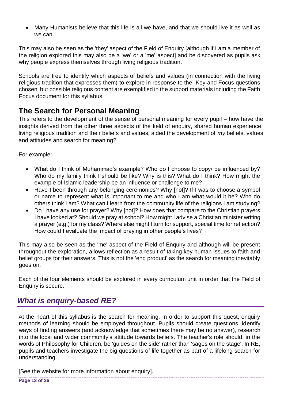Many Humanists believe that this life is all we have, and that we should live it as well as we can.

This may also be seen as the 'they' aspect of the Field of Enquiry [although if I am a member of the religion explored this may also be a 'we' or a 'me' aspect] and be discovered as pupils ask why people express themselves through living religious tradition.

Schools are free to identify which aspects of beliefs and values (in connection with the living religious tradition that expresses them) to explore in response to the Key and Focus questions chosen but possible religious content are exemplified in the support materials including the Faith Focus document for this syllabus.

## **The Search for Personal Meaning**

This refers to the development of the sense of personal meaning for every pupil – how have the insights derived from the other three aspects of the field of enquiry, shared human experience, living religious tradition and their beliefs and values, aided the development of *my* beliefs, values and attitudes and search for meaning?

For example:

- What do I think of Muhammad's example? Who do I choose to copy/ be influenced by? Who do my family think I should be like? Why is this? What do I think? How might the example of Islamic leadership be an influence or challenge to me?
- Have I been through any belonging ceremonies? Why [not]? If I was to choose a symbol or name to represent what is important to me and who I am what would it be? Who do others think I am? What can I learn from the community life of the religions I am studying?
- Do I have any use for prayer? Why [not]? How does that compare to the Christian prayers I have looked at? Should we pray at school? How might I advise a Christian minister writing a prayer (e.g.) for my class? Where else might I turn for support, special time for reflection? How could I evaluate the impact of praying in other people's lives?

This may also be seen as the 'me' aspect of the Field of Enquiry and although will be present throughout the exploration, allows reflection as a result of taking key human issues to faith and belief groups for their answers. This is not the 'end product' as the search for meaning inevitably goes on.

Each of the four elements should be explored in every curriculum unit in order that the Field of Enquiry is secure.

## <span id="page-13-0"></span>*What is enquiry-based RE?*

At the heart of this syllabus is the search for meaning. In order to support this quest, enquiry methods of learning should be employed throughout. Pupils should create questions, identify ways of finding answers (and acknowledge that sometimes there may be no answer), research into the local and wider community's attitude towards beliefs. The teacher's role should, in the words of Philosophy for Children, be 'guides on the side' rather than 'sages on the stage'. In RE, pupils and teachers investigate the big questions of life together as part of a lifelong search for understanding.

[See the website for more information about enquiry].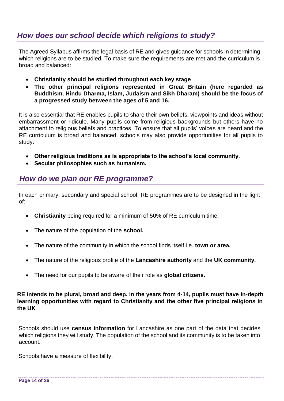## <span id="page-14-0"></span>*How does our school decide which religions to study?*

The Agreed Syllabus affirms the legal basis of RE and gives guidance for schools in determining which religions are to be studied. To make sure the requirements are met and the curriculum is broad and balanced:

- **Christianity should be studied throughout each key stage**.
- **The other principal religions represented in Great Britain (here regarded as Buddhism, Hindu Dharma, Islam, Judaism and Sikh Dharam) should be the focus of a progressed study between the ages of 5 and 16.**

It is also essential that RE enables pupils to share their own beliefs, viewpoints and ideas without embarrassment or ridicule. Many pupils come from religious backgrounds but others have no attachment to religious beliefs and practices. To ensure that all pupils' voices are heard and the RE curriculum is broad and balanced, schools may also provide opportunities for all pupils to study:

- **Other religious traditions as is appropriate to the school's local community**.
- **Secular philosophies such as humanism.**

## <span id="page-14-1"></span>*How do we plan our RE programme?*

In each primary, secondary and special school, RE programmes are to be designed in the light of:

- **Christianity** being required for a minimum of 50% of RE curriculum time.
- The nature of the population of the **school.**
- The nature of the community in which the school finds itself i.e. **town or area.**
- The nature of the religious profile of the **Lancashire authority** and the **UK community.**
- The need for our pupils to be aware of their role as **global citizens.**

#### **RE intends to be plural, broad and deep. In the years from 4-14, pupils must have in-depth learning opportunities with regard to Christianity and the other five principal religions in the UK**

Schools should use **census information** for Lancashire as one part of the data that decides which religions they will study. The population of the school and its community is to be taken into account.

Schools have a measure of flexibility.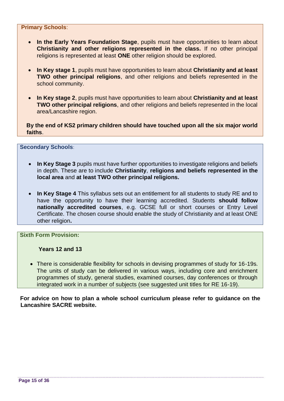#### **Primary Schools**:

- **In the Early Years Foundation Stage**, pupils must have opportunities to learn about **Christianity and other religions represented in the class.** If no other principal religions is represented at least **ONE** other religion should be explored.
- **In Key stage 1**, pupils must have opportunities to learn about **Christianity and at least TWO other principal religions**, and other religions and beliefs represented in the school community.
- **In Key stage 2**, pupils must have opportunities to learn about **Christianity and at least TWO other principal religions**, and other religions and beliefs represented in the local area/Lancashire region.

**By the end of KS2 primary children should have touched upon all the six major world faiths**.

#### **Secondary Schools**:

- **In Key Stage 3** pupils must have further opportunities to investigate religions and beliefs in depth. These are to include **Christianity**, **religions and beliefs represented in the local area** and **at least TWO other principal religions.**
- **In Key Stage 4** This syllabus sets out an entitlement for all students to study RE and to have the opportunity to have their learning accredited. Students **should follow nationally accredited courses**, e.g. GCSE full or short courses or Entry Level Certificate. The chosen course should enable the study of Christianity and at least ONE other religion**.**

**Sixth Form Provision:**

**Years 12 and 13** 

 There is considerable flexibility for schools in devising programmes of study for 16-19s. The units of study can be delivered in various ways, including core and enrichment programmes of study, general studies, examined courses, day conferences or through integrated work in a number of subjects (see suggested unit titles for RE 16-19).

**For advice on how to plan a whole school curriculum please refer to guidance on the Lancashire SACRE website.**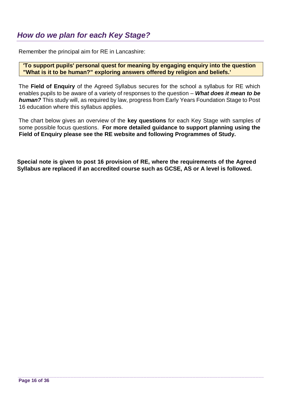<span id="page-16-0"></span>Remember the principal aim for RE in Lancashire:

**'To support pupils' personal quest for meaning by engaging enquiry into the question "What is it to be human?" exploring answers offered by religion and beliefs.'** 

The **Field of Enquiry** of the Agreed Syllabus secures for the school a syllabus for RE which enables pupils to be aware of a variety of responses to the question – *What does it mean to be human?* This study will, as required by law, progress from Early Years Foundation Stage to Post 16 education where this syllabus applies.

The chart below gives an overview of the **key questions** for each Key Stage with samples of some possible focus questions. **For more detailed guidance to support planning using the Field of Enquiry please see the RE website and following Programmes of Study.**

**Special note is given to post 16 provision of RE, where the requirements of the Agreed Syllabus are replaced if an accredited course such as GCSE, AS or A level is followed.**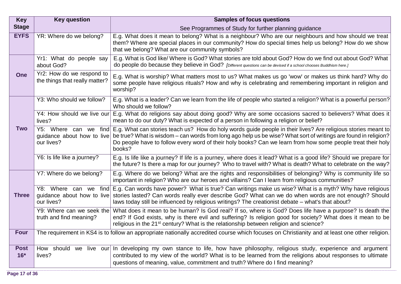| <b>Key</b>           | <b>Key question</b>                                                                                                                            | <b>Samples of focus questions</b>                                                                                                                                                                                                                                                                                                                                                                          |  |  |
|----------------------|------------------------------------------------------------------------------------------------------------------------------------------------|------------------------------------------------------------------------------------------------------------------------------------------------------------------------------------------------------------------------------------------------------------------------------------------------------------------------------------------------------------------------------------------------------------|--|--|
| <b>Stage</b>         |                                                                                                                                                | See Programmes of Study for further planning guidance                                                                                                                                                                                                                                                                                                                                                      |  |  |
| <b>EYFS</b>          | YR: Where do we belong?                                                                                                                        | E.g. What does it mean to belong? What is a neighbour? Who are our neighbours and how should we treat<br>them? Where are special places in our community? How do special times help us belong? How do we show<br>that we belong? What are our community symbols?                                                                                                                                           |  |  |
|                      | Yr1: What do people say<br>about God?                                                                                                          | E.g. What is God like/ Where is God? What stories are told about God? How do we find out about God? What<br>do people do because they believe in God? [Different questions can be devised if a school chooses Buddhism here.]                                                                                                                                                                              |  |  |
| <b>One</b>           | Yr2: How do we respond to<br>the things that really matter?                                                                                    | E.g. What is worship? What matters most to us? What makes us go 'wow' or makes us think hard? Why do<br>some people have religious rituals? How and why is celebrating and remembering important in religion and<br>worship?                                                                                                                                                                               |  |  |
|                      | Y3: Who should we follow?                                                                                                                      | E.g. What is a leader? Can we learn from the life of people who started a religion? What is a powerful person?<br>Who should we follow?                                                                                                                                                                                                                                                                    |  |  |
|                      | Y4: How should we live our<br>lives?                                                                                                           | E.g. What do religions say about doing good? Why are some occasions sacred to believers? What does it<br>mean to do our duty? What is expected of a person in following a religion or belief?                                                                                                                                                                                                              |  |  |
| <b>Two</b>           | our lives?                                                                                                                                     | Y5: Where can we find E.g. What can stories teach us? How do holy words guide people in their lives? Are religious stories meant to<br>guidance about how to live be true? What is wisdom – can words from long ago help us be wise? What sort of writings are found in religion?<br>Do people have to follow every word of their holy books? Can we learn from how some people treat their holy<br>books? |  |  |
|                      | Y6: Is life like a journey?                                                                                                                    | E.g. Is life like a journey? If life is a journey, where does it lead? What is a good life? Should we prepare for<br>the future? Is there a map for our journey? Who to travel with? What is death? What to celebrate on the way?                                                                                                                                                                          |  |  |
|                      | Y7: Where do we belong?                                                                                                                        | E.g. Where do we belong? What are the rights and responsibilities of belonging? Why is community life so<br>important in religion? Who are our heroes and villains? Can I learn from religious communities?                                                                                                                                                                                                |  |  |
| <b>Three</b>         | Y8: Where can we<br>our lives?                                                                                                                 | find E.g. Can words have power? What is true? Can writings make us wise? What is a myth? Why have religious<br>guidance about how to live stories lasted? Can words really ever describe God? What can we do when words are not enough? Should<br>laws today still be influenced by religious writings? The creationist debate – what's that about?                                                        |  |  |
|                      | Y9: Where can we seek the<br>truth and find meaning?                                                                                           | What does it mean to be human? Is God real? If so, where is God? Does life have a purpose? Is death the<br>end? If God exists, why is there evil and suffering? Is religion good for society? What does it mean to be<br>religious in the 21 <sup>st</sup> century? What is the relationship between religion and science?                                                                                 |  |  |
| <b>Four</b>          | The requirement in KS4 is to follow an appropriate nationally accredited course which focuses on Christianity and at least one other religion. |                                                                                                                                                                                                                                                                                                                                                                                                            |  |  |
| <b>Post</b><br>$16*$ | lives?                                                                                                                                         | How should we live our In developing my own stance to life, how have philosophy, religious study, experience and argument<br>contributed to my view of the world? What is to be learned from the religions about responses to ultimate<br>questions of meaning, value, commitment and truth? Where do I find meaning?                                                                                      |  |  |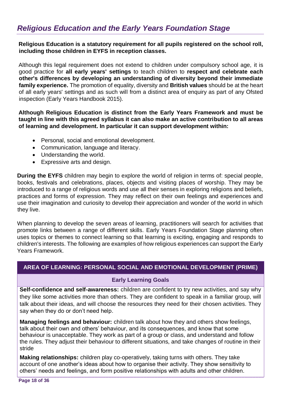<span id="page-18-0"></span>**Religious Education is a statutory requirement for all pupils registered on the school roll, including those children in EYFS in reception classes.** 

Although this legal requirement does not extend to children under compulsory school age, it is good practice for **all early years' settings** to teach children to **respect and celebrate each other's differences by developing an understanding of diversity beyond their immediate family experience.** The promotion of equality, diversity and **British values** should be at the heart of all early years' settings and as such will from a distinct area of enquiry as part of any Ofsted inspection (Early Years Handbook 2015).

**Although Religious Education is distinct from the Early Years Framework and must be taught in line with this agreed syllabus it can also make an active contribution to all areas of learning and development. In particular it can support development within:**

- Personal, social and emotional development.
- Communication, language and literacy.
- Understanding the world.
- Expressive arts and design.

**During the EYFS** children may begin to explore the world of religion in terms of: special people, books, festivals and celebrations, places, objects and visiting places of worship. They may be introduced to a range of religious words and use all their senses in exploring religions and beliefs, practices and forms of expression. They may reflect on their own feelings and experiences and use their imagination and curiosity to develop their appreciation and wonder of the world in which they live.

When planning to develop the seven areas of learning, practitioners will search for activities that promote links between a range of different skills. Early Years Foundation Stage planning often uses topics or themes to connect learning so that learning is exciting, engaging and responds to children's interests. The following are examples of how religious experiences can support the Early Years Framework.

#### **AREA OF LEARNING: PERSONAL SOCIAL AND EMOTIONAL DEVELOPMENT (PRIME)**

#### **Early Learning Goals**

**Self-confidence and self-awareness:** children are confident to try new activities, and say why they like some activities more than others. They are confident to speak in a familiar group, will talk about their ideas, and will choose the resources they need for their chosen activities. They say when they do or don't need help.

**Managing feelings and behaviour:** children talk about how they and others show feelings, talk about their own and others' behaviour, and its consequences, and know that some behaviour is unacceptable. They work as part of a group or class, and understand and follow the rules. They adjust their behaviour to different situations, and take changes of routine in their stride

**Making relationships:** children play co-operatively, taking turns with others. They take account of one another's ideas about how to organise their activity. They show sensitivity to others' needs and feelings, and form positive relationships with adults and other children.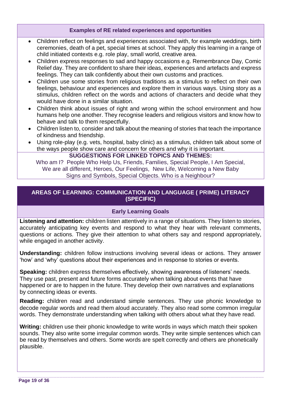#### **Examples of RE related experiences and opportunities**

- Children reflect on feelings and experiences associated with, for example weddings, birth ceremonies, death of a pet, special times at school. They apply this learning in a range of child initiated contexts e.g. role play, small world, creative area.
- Children express responses to sad and happy occasions e.g. Remembrance Day, Comic Relief day. They are confident to share their ideas, experiences and artefacts and express feelings. They can talk confidently about their own customs and practices.
- Children use some stories from religious traditions as a stimulus to reflect on their own feelings, behaviour and experiences and explore them in various ways. Using story as a stimulus, children reflect on the words and actions of characters and decide what they would have done in a similar situation.
- Children think about issues of right and wrong within the school environment and how humans help one another. They recognise leaders and religious visitors and know how to behave and talk to them respectfully.
- Children listen to, consider and talk about the meaning of stories that teach the importance of kindness and friendship.
- Using role-play (e.g. vets, hospital, baby clinic) as a stimulus, children talk about some of the ways people show care and concern for others and why it is important.

#### **SUGGESTIONS FOR LINKED TOPICS AND THEMES:**

Who am I? People Who Help Us, Friends, Families, Special People, I Am Special, We are all different, Heroes, Our Feelings, New Life, Welcoming a New Baby Signs and Symbols, Special Objects. Who is a Neighbour?

#### **AREAS OF LEARNING: COMMUNICATION AND LANGUAGE ( PRIME) LITERACY (SPECIFIC)**

#### **Early Learning Goals**

**Listening and attention:** children listen attentively in a range of situations. They listen to stories, accurately anticipating key events and respond to what they hear with relevant comments, questions or actions. They give their attention to what others say and respond appropriately, while engaged in another activity.

**Understanding:** children follow instructions involving several ideas or actions. They answer 'how' and 'why' questions about their experiences and in response to stories or events.

**Speaking:** children express themselves effectively, showing awareness of listeners' needs. They use past, present and future forms accurately when talking about events that have happened or are to happen in the future. They develop their own narratives and explanations by connecting ideas or events.

**Reading:** children read and understand simple sentences. They use phonic knowledge to decode regular words and read them aloud accurately. They also read some common irregular words. They demonstrate understanding when talking with others about what they have read.

**Writing:** children use their phonic knowledge to write words in ways which match their spoken sounds. They also write some irregular common words. They write simple sentences which can be read by themselves and others. Some words are spelt correctly and others are phonetically plausible.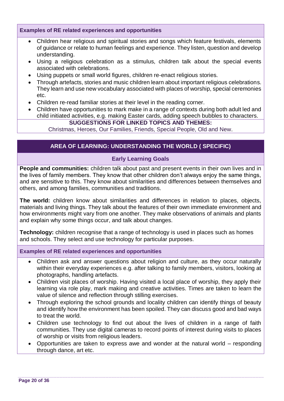#### **Examples of RE related experiences and opportunities**

- Children hear religious and spiritual stories and songs which feature festivals, elements of guidance or relate to human feelings and experience. They listen, question and develop understanding.
- Using a religious celebration as a stimulus, children talk about the special events associated with celebrations.
- Using puppets or small world figures, children re-enact religious stories.
- Through artefacts, stories and music children learn about important religious celebrations. They learn and use new vocabulary associated with places of worship, special ceremonies etc.
- Children re-read familiar stories at their level in the reading corner.
- Children have opportunities to mark make in a range of contexts during both adult led and child initiated activities, e.g. making Easter cards, adding speech bubbles to characters.

#### **SUGGESTIONS FOR LINKED TOPICS AND THEMES:**

Christmas, Heroes, Our Families, Friends, Special People, Old and New.

#### **AREA OF LEARNING: UNDERSTANDING THE WORLD ( SPECIFIC)**

#### **Early Learning Goals**

**People and communities:** children talk about past and present events in their own lives and in the lives of family members. They know that other children don't always enjoy the same things, and are sensitive to this. They know about similarities and differences between themselves and others, and among families, communities and traditions.

**The world:** children know about similarities and differences in relation to places, objects, materials and living things. They talk about the features of their own immediate environment and how environments might vary from one another. They make observations of animals and plants and explain why some things occur, and talk about changes.

**Technology:** children recognise that a range of technology is used in places such as homes and schools. They select and use technology for particular purposes.

#### **Examples of RE related experiences and opportunities**

- Children ask and answer questions about religion and culture, as they occur naturally within their everyday experiences e.g. after talking to family members, visitors, looking at photographs, handling artefacts.
- Children visit places of worship. Having visited a local place of worship, they apply their learning via role play, mark making and creative activities. Times are taken to learn the value of silence and reflection through stilling exercises.
- Through exploring the school grounds and locality children can identify things of beauty and identify how the environment has been spoiled. They can discuss good and bad ways to treat the world.
- Children use technology to find out about the lives of children in a range of faith communities. They use digital cameras to record points of interest during visits to places of worship or visits from religious leaders.
- Opportunities are taken to express awe and wonder at the natural world responding through dance, art etc.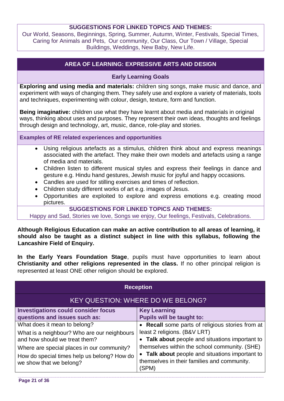#### **SUGGESTIONS FOR LINKED TOPICS AND THEMES:**

Our World, Seasons, Beginnings, Spring, Summer, Autumn, Winter, Festivals, Special Times, Caring for Animals and Pets, Our community, Our Class, Our Town / Village, Special Buildings, Weddings, New Baby, New Life.

#### **AREA OF LEARNING: EXPRESSIVE ARTS AND DESIGN**

#### **Early Learning Goals**

**Exploring and using media and materials:** children sing songs, make music and dance, and experiment with ways of changing them. They safely use and explore a variety of materials, tools and techniques, experimenting with colour, design, texture, form and function.

**Being imaginative:** children use what they have learnt about media and materials in original ways, thinking about uses and purposes. They represent their own ideas, thoughts and feelings through design and technology, art, music, dance, role-play and stories.

**Examples of RE related experiences and opportunities** 

- Using religious artefacts as a stimulus, children think about and express meanings associated with the artefact. They make their own models and artefacts using a range of media and materials.
- Children listen to different musical styles and express their feelings in dance and gesture e.g. Hindu hand gestures, Jewish music for joyful and happy occasions.
- Candles are used for stilling exercises and times of reflection.
- Children study different works of art e.g. images of Jesus.
- Opportunities are exploited to explore and express emotions e.g. creating mood pictures.

**SUGGESTIONS FOR LINKED TOPICS AND THEMES:**

Happy and Sad, Stories we love, Songs we enjoy, Our feelings, Festivals, Celebrations.

**Although Religious Education can make an active contribution to all areas of learning, it should also be taught as a distinct subject in line with this syllabus, following the Lancashire Field of Enquiry.** 

**In the Early Years Foundation Stage**, pupils must have opportunities to learn about **Christianity and other religions represented in the class.** If no other principal religion is represented at least ONE other religion should be explored.

| <b>Reception</b>                                                                                                                                                                                                                     |                                                                                                                                                                                                                                                                                                 |
|--------------------------------------------------------------------------------------------------------------------------------------------------------------------------------------------------------------------------------------|-------------------------------------------------------------------------------------------------------------------------------------------------------------------------------------------------------------------------------------------------------------------------------------------------|
| <b>KEY QUESTION: WHERE DO WE BELONG?</b>                                                                                                                                                                                             |                                                                                                                                                                                                                                                                                                 |
| <b>Investigations could consider focus</b><br>questions and issues such as:                                                                                                                                                          | <b>Key Learning</b><br><b>Pupils will be taught to:</b>                                                                                                                                                                                                                                         |
| What does it mean to belong?<br>What is a neighbour? Who are our neighbours<br>and how should we treat them?<br>Where are special places in our community?<br>How do special times help us belong? How do<br>we show that we belong? | • Recall some parts of religious stories from at<br>least 2 religions. (B&V LRT)<br>• Talk about people and situations important to<br>themselves within the school community. (SHE)<br>• Talk about people and situations important to<br>themselves in their families and community.<br>(SPM) |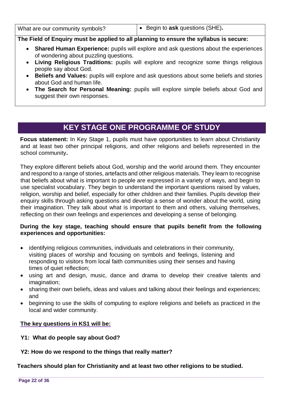What are our community symbols? **and in the set of east of ask** questions (SHE).

#### **The Field of Enquiry must be applied to all planning to ensure the syllabus is secure:**

- **Shared Human Experience:** pupils will explore and ask questions about the experiences of wondering about puzzling questions.
- **Living Religious Traditions:** pupils will explore and recognize some things religious people say about God.
- **Beliefs and Values:** pupils will explore and ask questions about some beliefs and stories about God and human life.
- **The Search for Personal Meaning:** pupils will explore simple beliefs about God and suggest their own responses.

## **KEY STAGE ONE PROGRAMME OF STUDY**

<span id="page-22-0"></span>Focus statement: In Key Stage 1, pupils must have opportunities to learn about Christianity and at least two other principal religions, and other religions and beliefs represented in the school community**.** 

They explore different beliefs about God, worship and the world around them. They encounter and respond to a range of stories, artefacts and other religious materials. They learn to recognise that beliefs about what is important to people are expressed in a variety of ways, and begin to use specialist vocabulary. They begin to understand the important questions raised by values, religion, worship and belief, especially for other children and their families. Pupils develop their enquiry skills through asking questions and develop a sense of wonder about the world, using their imagination. They talk about what is important to them and others, valuing themselves, reflecting on their own feelings and experiences and developing a sense of belonging.

#### **During the key stage, teaching should ensure that pupils benefit from the following experiences and opportunities:**

- identifying religious communities, individuals and celebrations in their community, visiting places of worship and focusing on symbols and feelings, listening and responding to visitors from local faith communities using their senses and having times of quiet reflection;
- using art and design, music, dance and drama to develop their creative talents and imagination;
- sharing their own beliefs, ideas and values and talking about their feelings and experiences; and
- beginning to use the skills of computing to explore religions and beliefs as practiced in the local and wider community.

#### **The key questions in KS1 will be:**

- **Y1: What do people say about God?**
- **Y2: How do we respond to the things that really matter?**

**Teachers should plan for Christianity and at least two other religions to be studied.**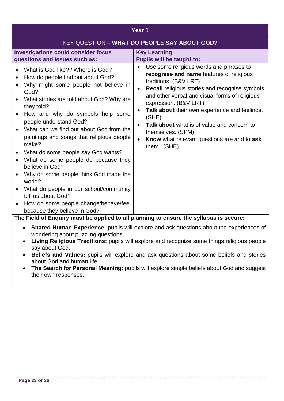| Year 1                                                                                                                                                                                                                                                                                                                                                                                                                                                                                                                                                                                                                                      |                                                                                                                                                                                                                                                                                                                                                                                                                                                                |  |
|---------------------------------------------------------------------------------------------------------------------------------------------------------------------------------------------------------------------------------------------------------------------------------------------------------------------------------------------------------------------------------------------------------------------------------------------------------------------------------------------------------------------------------------------------------------------------------------------------------------------------------------------|----------------------------------------------------------------------------------------------------------------------------------------------------------------------------------------------------------------------------------------------------------------------------------------------------------------------------------------------------------------------------------------------------------------------------------------------------------------|--|
|                                                                                                                                                                                                                                                                                                                                                                                                                                                                                                                                                                                                                                             | KEY QUESTION - WHAT DO PEOPLE SAY ABOUT GOD?                                                                                                                                                                                                                                                                                                                                                                                                                   |  |
| <b>Investigations could consider focus</b><br>questions and issues such as:                                                                                                                                                                                                                                                                                                                                                                                                                                                                                                                                                                 | <b>Key Learning</b><br><b>Pupils will be taught to:</b>                                                                                                                                                                                                                                                                                                                                                                                                        |  |
| What is God like? / Where is God?<br>How do people find out about God?<br>Why might some people not believe in<br>God?<br>What stories are told about God? Why are<br>they told?<br>How and why do symbols help some<br>people understand God?<br>What can we find out about God from the<br>paintings and songs that religious people<br>make?<br>What do some people say God wants?<br>What do some people do because they<br>believe in God?<br>Why do some people think God made the<br>world?<br>What do people in our school/community<br>tell us about God?<br>How do some people change/behave/feel<br>because they believe in God? | Use some religious words and phrases to<br>recognise and name features of religious<br>traditions. (B&V LRT)<br>Recall religious stories and recognise symbols<br>$\bullet$<br>and other verbal and visual forms of religious<br>expression. (B&V LRT)<br>Talk about their own experience and feelings.<br>$\bullet$<br>(SHE)<br>Talk about what is of value and concern to<br>themselves. (SPM)<br>Know what relevant questions are and to ask<br>them. (SHE) |  |
| The Field of Enquiry must be applied to all planning to ensure the syllabus is secure:<br>Shared Human Experience: pupils will explore and ask questions about the experiences of<br>$\bullet$<br>wondering about puzzling questions.<br>The comparison of the state of the state of the state of the state of the state of the state of the state of the state                                                                                                                                                                                                                                                                             |                                                                                                                                                                                                                                                                                                                                                                                                                                                                |  |

- **Living Religious Traditions:** pupils will explore and recognize some things religious people say about God.
- **Beliefs and Values:** pupils will explore and ask questions about some beliefs and stories about God and human life.
- **The Search for Personal Meaning:** pupils will explore simple beliefs about God and suggest their own responses.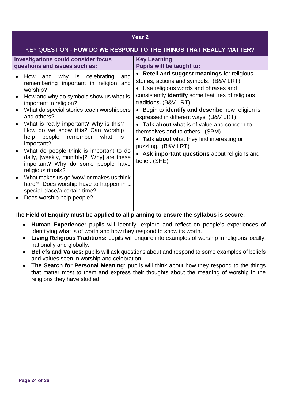#### **Year 2**

#### KEY QUESTION - **HOW DO WE RESPOND TO THE THINGS THAT REALLY MATTER?**

| • Retell and suggest meanings for religious<br>why is celebrating<br>and<br>How and<br>stories, actions and symbols. (B&V LRT)<br>remembering important in religion<br>and<br>• Use religious words and phrases and<br>worship?<br>consistently identify some features of religious<br>How and why do symbols show us what is<br>traditions. (B&V LRT)<br>important in religion?<br>• Begin to identify and describe how religion is<br>What do special stories teach worshippers<br>and others?<br>expressed in different ways. (B&V LRT)<br>What is really important? Why is this?<br>Talk about what is of value and concern to<br>How do we show this? Can worship<br>themselves and to others. (SPM)<br>help people remember what<br>is<br>• Talk about what they find interesting or<br>important?<br>puzzling. (B&V LRT)<br>What do people think is important to do<br>• Ask important questions about religions and<br>daily, [weekly, monthly]? [Why] are these<br>belief. (SHE)<br>important? Why do some people have<br>religious rituals?<br>What makes us go 'wow' or makes us think<br>hard? Does worship have to happen in a<br>special place/a certain time? | <b>Investigations could consider focus</b><br>questions and issues such as: | <b>Key Learning</b><br><b>Pupils will be taught to:</b> |
|------------------------------------------------------------------------------------------------------------------------------------------------------------------------------------------------------------------------------------------------------------------------------------------------------------------------------------------------------------------------------------------------------------------------------------------------------------------------------------------------------------------------------------------------------------------------------------------------------------------------------------------------------------------------------------------------------------------------------------------------------------------------------------------------------------------------------------------------------------------------------------------------------------------------------------------------------------------------------------------------------------------------------------------------------------------------------------------------------------------------------------------------------------------------------|-----------------------------------------------------------------------------|---------------------------------------------------------|
|                                                                                                                                                                                                                                                                                                                                                                                                                                                                                                                                                                                                                                                                                                                                                                                                                                                                                                                                                                                                                                                                                                                                                                              | Does worship help people?                                                   |                                                         |

- **Human Experience:** pupils will identify, explore and reflect on people's experiences of identifying what is of worth and how they respond to show its worth.
- **Living Religious Traditions:** pupils will enquire into examples of worship in religions locally, nationally and globally.
- **Beliefs and Values:** pupils will ask questions about and respond to some examples of beliefs and values seen in worship and celebration.
- **The Search for Personal Meaning:** pupils will think about how they respond to the things that matter most to them and express their thoughts about the meaning of worship in the religions they have studied.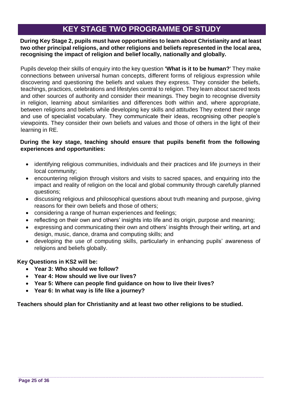## **KEY STAGE TWO PROGRAMME OF STUDY**

<span id="page-25-0"></span>**During Key Stage 2, pupils must have opportunities to learn about Christianity and at least two other principal religions, and other religions and beliefs represented in the local area, recognising the impact of religion and belief locally, nationally and globally.**

Pupils develop their skills of enquiry into the key question **'What is it to be human?**' They make connections between universal human concepts, different forms of religious expression while discovering and questioning the beliefs and values they express. They consider the beliefs, teachings, practices, celebrations and lifestyles central to religion. They learn about sacred texts and other sources of authority and consider their meanings. They begin to recognise diversity in religion, learning about similarities and differences both within and, where appropriate, between religions and beliefs while developing key skills and attitudes They extend their range and use of specialist vocabulary. They communicate their ideas, recognising other people's viewpoints. They consider their own beliefs and values and those of others in the light of their learning in RE.

#### **During the key stage, teaching should ensure that pupils benefit from the following experiences and opportunities:**

- identifying religious communities, individuals and their practices and life journeys in their local community;
- encountering religion through visitors and visits to sacred spaces, and enquiring into the impact and reality of religion on the local and global community through carefully planned questions;
- discussing religious and philosophical questions about truth meaning and purpose, giving reasons for their own beliefs and those of others;
- considering a range of human experiences and feelings;
- reflecting on their own and others' insights into life and its origin, purpose and meaning;
- expressing and communicating their own and others' insights through their writing, art and design, music, dance, drama and computing skills; and
- developing the use of computing skills, particularly in enhancing pupils' awareness of religions and beliefs globally.

#### **Key Questions in KS2 will be:**

- **Year 3: Who should we follow?**
- **Year 4: How should we live our lives?**
- **Year 5: Where can people find guidance on how to live their lives?**
- **Year 6: In what way is life like a journey?**

**Teachers should plan for Christianity and at least two other religions to be studied.**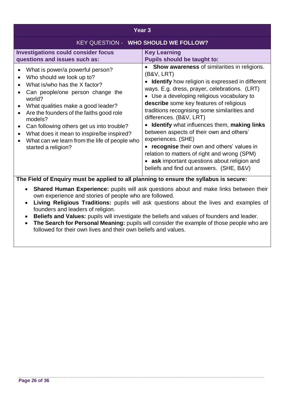| Year <sub>3</sub>                                                                                                                                                                                                                                                                                                                                                                                                                                                                         |                                                                                                                                                                                                                                                                                                                                                                                                                                                                                                                                                                                                                                                                      |  |
|-------------------------------------------------------------------------------------------------------------------------------------------------------------------------------------------------------------------------------------------------------------------------------------------------------------------------------------------------------------------------------------------------------------------------------------------------------------------------------------------|----------------------------------------------------------------------------------------------------------------------------------------------------------------------------------------------------------------------------------------------------------------------------------------------------------------------------------------------------------------------------------------------------------------------------------------------------------------------------------------------------------------------------------------------------------------------------------------------------------------------------------------------------------------------|--|
| <b>KEY QUESTION - WHO SHOULD WE FOLLOW?</b>                                                                                                                                                                                                                                                                                                                                                                                                                                               |                                                                                                                                                                                                                                                                                                                                                                                                                                                                                                                                                                                                                                                                      |  |
| <b>Investigations could consider focus</b><br>questions and issues such as:                                                                                                                                                                                                                                                                                                                                                                                                               | <b>Key Learning</b><br><b>Pupils should be taught to:</b>                                                                                                                                                                                                                                                                                                                                                                                                                                                                                                                                                                                                            |  |
| What is power/a powerful person?<br>$\bullet$<br>Who should we look up to?<br>$\bullet$<br>What is/who has the X factor?<br>$\bullet$<br>Can people/one person change the<br>world?<br>What qualities make a good leader?<br>Are the founders of the faiths good role<br>$\bullet$<br>models?<br>Can following others get us into trouble?<br>$\bullet$<br>What does it mean to inspire/be inspired?<br>$\bullet$<br>What can we learn from the life of people who<br>started a religion? | Show awareness of similarities in religions.<br>$\bullet$<br>(B&V, LRT)<br>• Identify how religion is expressed in different<br>ways. E.g. dress, prayer, celebrations. (LRT)<br>• Use a developing religious vocabulary to<br>describe some key features of religious<br>traditions recognising some similarities and<br>differences. (B&V, LRT)<br><b>Identify</b> what influences them, making links<br>between aspects of their own and others'<br>experiences. (SHE)<br>• recognise their own and others' values in<br>relation to matters of right and wrong (SPM)<br>• ask important questions about religion and<br>beliefs and find out answers. (SHE, B&V) |  |
| The Field of Enquiry must be applied to all planning to ensure the syllabus is secure:                                                                                                                                                                                                                                                                                                                                                                                                    |                                                                                                                                                                                                                                                                                                                                                                                                                                                                                                                                                                                                                                                                      |  |

- **Shared Human Experience:** pupils will ask questions about and make links between their own experience and stories of people who are followed.
- **Living Religious Traditions:** pupils will ask questions about the lives and examples of founders and leaders of religion.
- **Beliefs and Values:** pupils will investigate the beliefs and values of founders and leader.
- The Search for Personal Meaning: pupils will consider the example of those people who are followed for their own lives and their own beliefs and values.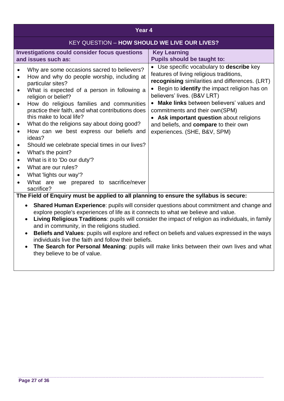| Year <sub>4</sub>                                                                                                                                                                                                                                                                                                                                                                                                                                                                                                                                                                                                                        |                                                                                                                                                                                                                                                                                                                                                                                                                                            |  |
|------------------------------------------------------------------------------------------------------------------------------------------------------------------------------------------------------------------------------------------------------------------------------------------------------------------------------------------------------------------------------------------------------------------------------------------------------------------------------------------------------------------------------------------------------------------------------------------------------------------------------------------|--------------------------------------------------------------------------------------------------------------------------------------------------------------------------------------------------------------------------------------------------------------------------------------------------------------------------------------------------------------------------------------------------------------------------------------------|--|
| <b>KEY QUESTION - HOW SHOULD WE LIVE OUR LIVES?</b>                                                                                                                                                                                                                                                                                                                                                                                                                                                                                                                                                                                      |                                                                                                                                                                                                                                                                                                                                                                                                                                            |  |
| <b>Investigations could consider focus questions</b><br>and issues such as:                                                                                                                                                                                                                                                                                                                                                                                                                                                                                                                                                              | <b>Key Learning</b><br><b>Pupils should be taught to:</b>                                                                                                                                                                                                                                                                                                                                                                                  |  |
| Why are some occasions sacred to believers?<br>How and why do people worship, including at<br>particular sites?<br>What is expected of a person in following a<br>religion or belief?<br>How do religious families and communities<br>practice their faith, and what contributions does<br>this make to local life?<br>What do the religions say about doing good?<br>How can we best express our beliefs and<br>ideas?<br>Should we celebrate special times in our lives?<br>What's the point?<br>What is it to 'Do our duty'?<br>What are our rules?<br>What lights our way'?<br>What are we prepared to sacrifice/never<br>sacrifice? | Use specific vocabulary to <b>describe</b> key<br>features of living religious traditions,<br>recognising similarities and differences. (LRT)<br>Begin to identify the impact religion has on<br>believers' lives. (B&V LRT)<br>Make links between believers' values and<br>commitments and their own(SPM)<br>Ask important question about religions<br>$\bullet$<br>and beliefs, and compare to their own<br>experiences. (SHE, B&V, SPM) |  |
| The Field of Enquiry must be applied to all planning to ensure the syllabus is secure:                                                                                                                                                                                                                                                                                                                                                                                                                                                                                                                                                   |                                                                                                                                                                                                                                                                                                                                                                                                                                            |  |
| <b>Shared Human Experience:</b> pupils will consider questions about commitment and change and<br>$\bullet$<br>explore people's experiences of life as it connects to what we believe and value.<br>Living Religious Traditions: pupils will consider the impact of religion as individuals, in family<br>$\bullet$<br>and in community, in the religions studied.                                                                                                                                                                                                                                                                       |                                                                                                                                                                                                                                                                                                                                                                                                                                            |  |

- **Beliefs and Values**: pupils will explore and reflect on beliefs and values expressed in the ways individuals live the faith and follow their beliefs.
- **The Search for Personal Meaning**: pupils will make links between their own lives and what they believe to be of value.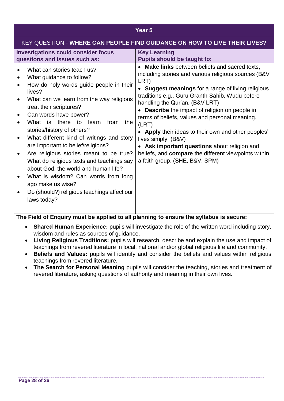#### **Year 5**

|                                                                                                                                                                                                                                                                                                                                                                                                                                                                                                                                                                                                                                                                                                                       | <b>KEY QUESTION - WHERE CAN PEOPLE FIND GUIDANCE ON HOW TO LIVE THEIR LIVES?</b>                                                                                                                                                                                                                                                                                                                                                                                                                                                                                                                                                       |
|-----------------------------------------------------------------------------------------------------------------------------------------------------------------------------------------------------------------------------------------------------------------------------------------------------------------------------------------------------------------------------------------------------------------------------------------------------------------------------------------------------------------------------------------------------------------------------------------------------------------------------------------------------------------------------------------------------------------------|----------------------------------------------------------------------------------------------------------------------------------------------------------------------------------------------------------------------------------------------------------------------------------------------------------------------------------------------------------------------------------------------------------------------------------------------------------------------------------------------------------------------------------------------------------------------------------------------------------------------------------------|
| <b>Investigations could consider focus</b><br>questions and issues such as:                                                                                                                                                                                                                                                                                                                                                                                                                                                                                                                                                                                                                                           | <b>Key Learning</b><br><b>Pupils should be taught to:</b>                                                                                                                                                                                                                                                                                                                                                                                                                                                                                                                                                                              |
| What can stories teach us?<br>What guidance to follow?<br>How do holy words guide people in their<br>lives?<br>What can we learn from the way religions<br>treat their scriptures?<br>Can words have power?<br>What is there to learn<br>from<br>the<br>stories/history of others?<br>What different kind of writings and story<br>are important to belief/religions?<br>Are religious stories meant to be true?<br>What do religious texts and teachings say<br>about God, the world and human life?<br>What is wisdom? Can words from long<br>ago make us wise?<br>Do (should?) religious teachings affect our<br>laws today?<br>$\Gamma$ in the set $\Gamma$ is an interval.<br>د ما به.<br>ومالمر المرامة الرمزان | <b>Make links</b> between beliefs and sacred texts,<br>including stories and various religious sources (B&V<br>LRT)<br>• Suggest meanings for a range of living religious<br>traditions e.g., Guru Granth Sahib, Wudu before<br>handling the Qur'an. (B&V LRT)<br>Describe the impact of religion on people in<br>terms of beliefs, values and personal meaning.<br>(LRT)<br>• Apply their ideas to their own and other peoples'<br>lives simply. (B&V)<br>• Ask important questions about religion and<br>beliefs, and <b>compare</b> the different viewpoints within<br>a faith group. (SHE, B&V, SPM)<br>ويتملح المتحدث وبالقر<br>. |

- **Shared Human Experience:** pupils will investigate the role of the written word including story, wisdom and rules as sources of guidance.
- **Living Religious Traditions:** pupils will research, describe and explain the use and impact of teachings from revered literature in local, national and/or global religious life and community.
- **Beliefs and Values:** pupils will identify and consider the beliefs and values within religious teachings from revered literature.
- **The Search for Personal Meaning** pupils will consider the teaching, stories and treatment of revered literature, asking questions of authority and meaning in their own lives.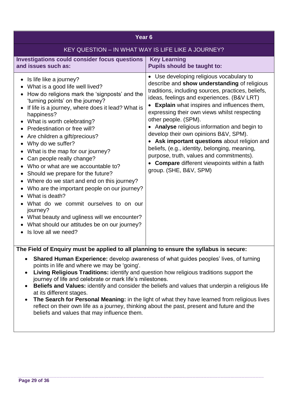| KEY QUESTION - IN WHAT WAY IS LIFE LIKE A JOURNEY?<br><b>Investigations could consider focus questions</b><br><b>Key Learning</b><br><b>Pupils should be taught to:</b><br>and issues such as:<br>• Use developing religious vocabulary to<br>Is life like a journey?<br>$\bullet$<br>What is a good life well lived?<br>$\bullet$<br>How do religions mark the 'signposts' and the<br>$\bullet$<br>'turning points' on the journey?<br>If life is a journey, where does it lead? What is<br>$\bullet$<br>happiness?<br>other people. (SPM).<br>What is worth celebrating?<br>$\bullet$<br>Predestination or free will?<br>$\bullet$<br>develop their own opinions B&V, SPM).<br>Are children a gift/precious?<br>$\bullet$<br>Why do we suffer?<br>$\bullet$<br>beliefs, (e.g., identity, belonging, meaning,<br>What is the map for our journey?<br>$\bullet$<br>purpose, truth, values and commitments).<br>Can people really change?<br>$\bullet$<br>Who or what are we accountable to?<br>$\bullet$<br>group. (SHE, B&V, SPM)<br>Should we prepare for the future?<br>$\bullet$<br>Where do we start and end on this journey?<br>$\bullet$<br>Who are the important people on our journey?<br>What is death? | Year <sub>6</sub>                     |                                                                                                                                                                                                                                                                                                                                                                                                   |  |
|-------------------------------------------------------------------------------------------------------------------------------------------------------------------------------------------------------------------------------------------------------------------------------------------------------------------------------------------------------------------------------------------------------------------------------------------------------------------------------------------------------------------------------------------------------------------------------------------------------------------------------------------------------------------------------------------------------------------------------------------------------------------------------------------------------------------------------------------------------------------------------------------------------------------------------------------------------------------------------------------------------------------------------------------------------------------------------------------------------------------------------------------------------------------------------------------------------------------|---------------------------------------|---------------------------------------------------------------------------------------------------------------------------------------------------------------------------------------------------------------------------------------------------------------------------------------------------------------------------------------------------------------------------------------------------|--|
|                                                                                                                                                                                                                                                                                                                                                                                                                                                                                                                                                                                                                                                                                                                                                                                                                                                                                                                                                                                                                                                                                                                                                                                                                   |                                       |                                                                                                                                                                                                                                                                                                                                                                                                   |  |
|                                                                                                                                                                                                                                                                                                                                                                                                                                                                                                                                                                                                                                                                                                                                                                                                                                                                                                                                                                                                                                                                                                                                                                                                                   |                                       |                                                                                                                                                                                                                                                                                                                                                                                                   |  |
| journey?<br>What beauty and ugliness will we encounter?<br>$\bullet$<br>What should our attitudes be on our journey?<br>$\bullet$<br>Is love all we need?<br>$\bullet$<br>The Field of Enquiry must be applied to all planning to ensure the syllabus is secure:                                                                                                                                                                                                                                                                                                                                                                                                                                                                                                                                                                                                                                                                                                                                                                                                                                                                                                                                                  | What do we commit ourselves to on our | describe and show understanding of religious<br>traditions, including sources, practices, beliefs,<br>ideas, feelings and experiences. (B&V LRT)<br>• Explain what inspires and influences them,<br>expressing their own views whilst respecting<br>• Analyse religious information and begin to<br>• Ask important questions about religion and<br>• Compare different viewpoints within a faith |  |

- **Living Religious Traditions:** identify and question how religious traditions support the journey of life and celebrate or mark life's milestones.
- **Beliefs and Values:** identify and consider the beliefs and values that underpin a religious life at its different stages.
- **The Search for Personal Meaning:** in the light of what they have learned from religious lives reflect on their own life as a journey, thinking about the past, present and future and the beliefs and values that may influence them.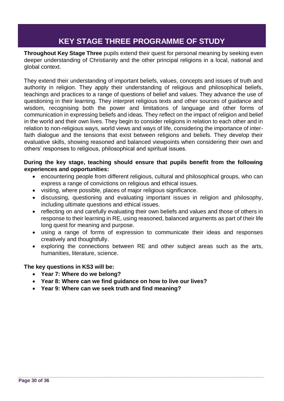## **KEY STAGE THREE PROGRAMME OF STUDY**

<span id="page-30-0"></span>**Throughout Key Stage Three** pupils extend their quest for personal meaning by seeking even deeper understanding of Christianity and the other principal religions in a local, national and global context.

They extend their understanding of important beliefs, values, concepts and issues of truth and authority in religion. They apply their understanding of religious and philosophical beliefs, teachings and practices to a range of questions of belief and values. They advance the use of questioning in their learning. They interpret religious texts and other sources of guidance and wisdom, recognising both the power and limitations of language and other forms of communication in expressing beliefs and ideas. They reflect on the impact of religion and belief in the world and their own lives. They begin to consider religions in relation to each other and in relation to non-religious ways, world views and ways of life, considering the importance of interfaith dialogue and the tensions that exist between religions and beliefs. They develop their evaluative skills, showing reasoned and balanced viewpoints when considering their own and others' responses to religious, philosophical and spiritual issues.

#### **During the key stage, teaching should ensure that pupils benefit from the following experiences and opportunities:**

- encountering people from different religious, cultural and philosophical groups, who can express a range of convictions on religious and ethical issues.
- visiting, where possible, places of major religious significance.
- discussing, questioning and evaluating important issues in religion and philosophy, including ultimate questions and ethical issues.
- reflecting on and carefully evaluating their own beliefs and values and those of others in response to their learning in RE, using reasoned, balanced arguments as part of their life long quest for meaning and purpose.
- using a range of forms of expression to communicate their ideas and responses creatively and thoughtfully.
- exploring the connections between RE and other subject areas such as the arts, humanities, literature, science.

#### **The key questions in KS3 will be:**

- **Year 7: Where do we belong?**
- **Year 8: Where can we find guidance on how to live our lives?**
- **Year 9: Where can we seek truth and find meaning?**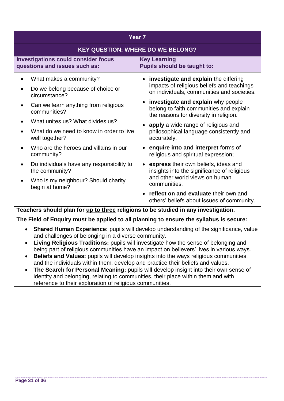| Year <sub>7</sub>                                                                                                                                                                                                                                                                                                                                                           |                                                                                                                                                                                                                                                                                                                                                                                                                                                                                                                                                                                                |  |
|-----------------------------------------------------------------------------------------------------------------------------------------------------------------------------------------------------------------------------------------------------------------------------------------------------------------------------------------------------------------------------|------------------------------------------------------------------------------------------------------------------------------------------------------------------------------------------------------------------------------------------------------------------------------------------------------------------------------------------------------------------------------------------------------------------------------------------------------------------------------------------------------------------------------------------------------------------------------------------------|--|
|                                                                                                                                                                                                                                                                                                                                                                             | <b>KEY QUESTION: WHERE DO WE BELONG?</b>                                                                                                                                                                                                                                                                                                                                                                                                                                                                                                                                                       |  |
| <b>Investigations could consider focus</b><br>questions and issues such as:                                                                                                                                                                                                                                                                                                 | <b>Key Learning</b><br><b>Pupils should be taught to:</b>                                                                                                                                                                                                                                                                                                                                                                                                                                                                                                                                      |  |
| What makes a community?<br>Do we belong because of choice or<br>circumstance?<br>Can we learn anything from religious<br>communities?<br>What unites us? What divides us?<br>What do we need to know in order to live<br>well together?<br>Who are the heroes and villains in our<br>community?<br>Do individuals have any responsibility to<br>$\bullet$<br>the community? | investigate and explain the differing<br>impacts of religious beliefs and teachings<br>on individuals, communities and societies.<br>investigate and explain why people<br>$\bullet$<br>belong to faith communities and explain<br>the reasons for diversity in religion.<br>apply a wide range of religious and<br>philosophical language consistently and<br>accurately.<br>enquire into and interpret forms of<br>religious and spiritual expression;<br>express their own beliefs, ideas and<br>$\bullet$<br>insights into the significance of religious<br>and other world views on human |  |
| Who is my neighbour? Should charity<br>begin at home?                                                                                                                                                                                                                                                                                                                       | communities.<br>reflect on and evaluate their own and<br>others' beliefs about issues of community.                                                                                                                                                                                                                                                                                                                                                                                                                                                                                            |  |

**Teachers should plan for up to three religions to be studied in any investigation.**

- **Shared Human Experience:** pupils will develop understanding of the significance, value and challenges of belonging in a diverse community.
- **Living Religious Traditions:** pupils will investigate how the sense of belonging and being part of religious communities have an impact on believers' lives in various ways.
- **Beliefs and Values:** pupils will develop insights into the ways religious communities, and the individuals within them, develop and practice their beliefs and values.
- **The Search for Personal Meaning:** pupils will develop insight into their own sense of identity and belonging, relating to communities, their place within them and with reference to their exploration of religious communities.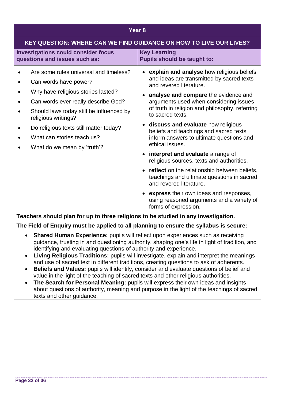#### **Year 8**

| <b>KEY QUESTION: WHERE CAN WE FIND GUIDANCE ON HOW TO LIVE OUR LIVES?</b>                                                                                                                                                                                                                                              |                                                                                                                                                                                                                                                                                                                                                                                                                                                                                                                                                                                                                                                                                                                                                                         |  |
|------------------------------------------------------------------------------------------------------------------------------------------------------------------------------------------------------------------------------------------------------------------------------------------------------------------------|-------------------------------------------------------------------------------------------------------------------------------------------------------------------------------------------------------------------------------------------------------------------------------------------------------------------------------------------------------------------------------------------------------------------------------------------------------------------------------------------------------------------------------------------------------------------------------------------------------------------------------------------------------------------------------------------------------------------------------------------------------------------------|--|
| <b>Investigations could consider focus</b><br>questions and issues such as:                                                                                                                                                                                                                                            | <b>Key Learning</b><br><b>Pupils should be taught to:</b>                                                                                                                                                                                                                                                                                                                                                                                                                                                                                                                                                                                                                                                                                                               |  |
| Are some rules universal and timeless?<br>Can words have power?<br>Why have religious stories lasted?<br>Can words ever really describe God?<br>Should laws today still be influenced by<br>religious writings?<br>Do religious texts still matter today?<br>What can stories teach us?<br>What do we mean by 'truth'? | • explain and analyse how religious beliefs<br>and ideas are transmitted by sacred texts<br>and revered literature.<br>analyse and compare the evidence and<br>arguments used when considering issues<br>of truth in religion and philosophy, referring<br>to sacred texts.<br>discuss and evaluate how religious<br>$\bullet$<br>beliefs and teachings and sacred texts<br>inform answers to ultimate questions and<br>ethical issues.<br>• interpret and evaluate a range of<br>religious sources, texts and authorities.<br>• reflect on the relationship between beliefs,<br>teachings and ultimate questions in sacred<br>and revered literature.<br>• express their own ideas and responses,<br>using reasoned arguments and a variety of<br>forms of expression. |  |

#### **Teachers should plan for up to three religions to be studied in any investigation.**

- **Shared Human Experience:** pupils will reflect upon experiences such as receiving guidance, trusting in and questioning authority, shaping one's life in light of tradition, and identifying and evaluating questions of authority and experience.
- **Living Religious Traditions:** pupils will investigate, explain and interpret the meanings and use of sacred text in different traditions, creating questions to ask of adherents.
- **Beliefs and Values:** pupils will identify, consider and evaluate questions of belief and value in the light of the teaching of sacred texts and other religious authorities.
- **The Search for Personal Meaning:** pupils will express their own ideas and insights about questions of authority, meaning and purpose in the light of the teachings of sacred texts and other guidance.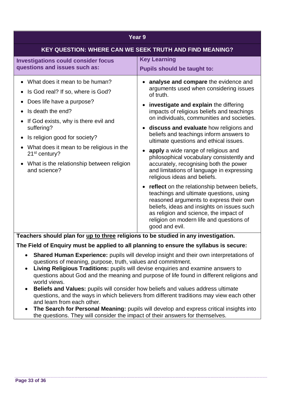| <b>KEY QUESTION: WHERE CAN WE SEEK TRUTH AND FIND MEANING?</b><br><b>Key Learning</b><br><b>Investigations could consider focus</b><br>questions and issues such as:<br><b>Pupils should be taught to:</b><br>What does it mean to be human?<br>analyse and compare the evidence and<br>arguments used when considering issues<br>Is God real? If so, where is God?<br>of truth.<br>Does life have a purpose?<br>investigate and explain the differing<br>Is death the end?<br>impacts of religious beliefs and teachings<br>on individuals, communities and societies.<br>If God exists, why is there evil and<br>suffering?<br>• discuss and evaluate how religions and<br>beliefs and teachings inform answers to<br>Is religion good for society?<br>ultimate questions and ethical issues.<br>What does it mean to be religious in the<br>apply a wide range of religious and<br>21 <sup>st</sup> century?<br>philosophical vocabulary consistently and<br>accurately, recognising both the power<br>What is the relationship between religion<br>$\bullet$<br>and science?<br>and limitations of language in expressing<br>religious ideas and beliefs.<br><b>reflect</b> on the relationship between beliefs,<br>teachings and ultimate questions, using<br>reasoned arguments to express their own<br>beliefs, ideas and insights on issues such<br>as religion and science, the impact of<br>religion on modern life and questions of<br>good and evil. | Year <sub>9</sub> |  |  |
|------------------------------------------------------------------------------------------------------------------------------------------------------------------------------------------------------------------------------------------------------------------------------------------------------------------------------------------------------------------------------------------------------------------------------------------------------------------------------------------------------------------------------------------------------------------------------------------------------------------------------------------------------------------------------------------------------------------------------------------------------------------------------------------------------------------------------------------------------------------------------------------------------------------------------------------------------------------------------------------------------------------------------------------------------------------------------------------------------------------------------------------------------------------------------------------------------------------------------------------------------------------------------------------------------------------------------------------------------------------------------------------------------------------------------------------------------------------|-------------------|--|--|
|                                                                                                                                                                                                                                                                                                                                                                                                                                                                                                                                                                                                                                                                                                                                                                                                                                                                                                                                                                                                                                                                                                                                                                                                                                                                                                                                                                                                                                                                  |                   |  |  |
|                                                                                                                                                                                                                                                                                                                                                                                                                                                                                                                                                                                                                                                                                                                                                                                                                                                                                                                                                                                                                                                                                                                                                                                                                                                                                                                                                                                                                                                                  |                   |  |  |
|                                                                                                                                                                                                                                                                                                                                                                                                                                                                                                                                                                                                                                                                                                                                                                                                                                                                                                                                                                                                                                                                                                                                                                                                                                                                                                                                                                                                                                                                  |                   |  |  |

**Teachers should plan for up to three religions to be studied in any investigation.**

- **Shared Human Experience:** pupils will develop insight and their own interpretations of questions of meaning, purpose, truth, values and commitment.
- **Living Religious Traditions:** pupils will devise enquiries and examine answers to questions about God and the meaning and purpose of life found in different religions and world views.
- **Beliefs and Values:** pupils will consider how beliefs and values address ultimate questions, and the ways in which believers from different traditions may view each other and learn from each other.
- **The Search for Personal Meaning:** pupils will develop and express critical insights into the questions. They will consider the impact of their answers for themselves.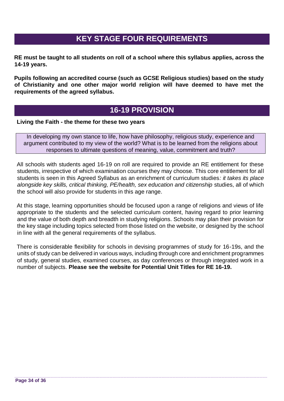## **KEY STAGE FOUR REQUIREMENTS**

<span id="page-34-0"></span>**RE must be taught to all students on roll of a school where this syllabus applies, across the 14-19 years.**

**Pupils following an accredited course (such as GCSE Religious studies) based on the study of Christianity and one other major world religion will have deemed to have met the requirements of the agreed syllabus.**

## **16-19 PROVISION**

<span id="page-34-1"></span>**Living the Faith - the theme for these two years** 

In developing my own stance to life, how have philosophy, religious study, experience and argument contributed to my view of the world? What is to be learned from the religions about responses to ultimate questions of meaning, value, commitment and truth?

All schools with students aged 16-19 on roll are required to provide an RE entitlement for these students, irrespective of which examination courses they may choose. This core entitlement for all students is seen in this Agreed Syllabus as an enrichment of curriculum studies*: it takes its place*  alongside key skills, critical thinking, PE/health, sex education and citizenship studies, all of which the school will also provide for students in this age range.

At this stage, learning opportunities should be focused upon a range of religions and views of life appropriate to the students and the selected curriculum content, having regard to prior learning and the value of both depth and breadth in studying religions. Schools may plan their provision for the key stage including topics selected from those listed on the website, or designed by the school in line with all the general requirements of the syllabus.

There is considerable flexibility for schools in devising programmes of study for 16-19s, and the units of study can be delivered in various ways, including through core and enrichment programmes of study, general studies, examined courses, as day conferences or through integrated work in a number of subjects. **Please see the website for Potential Unit Titles for RE 16-19.**